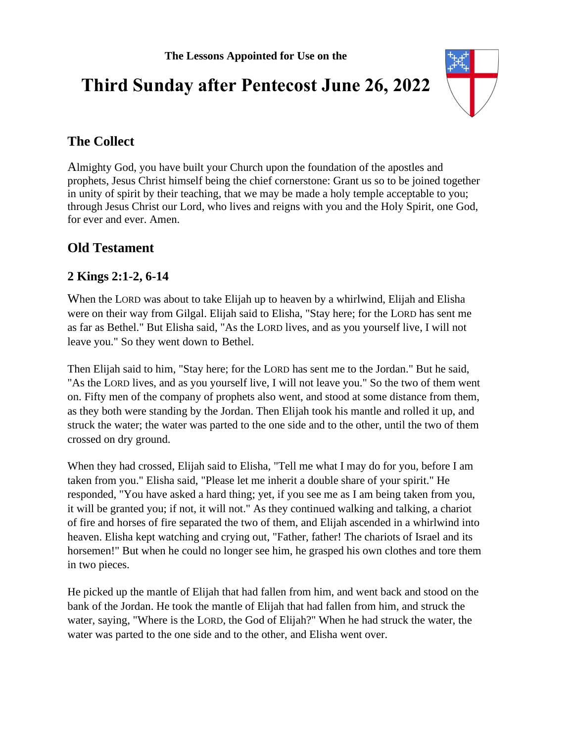# **Third Sunday after Pentecost June 26, 2022**



# **The Collect**

Almighty God, you have built your Church upon the foundation of the apostles and prophets, Jesus Christ himself being the chief cornerstone: Grant us so to be joined together in unity of spirit by their teaching, that we may be made a holy temple acceptable to you; through Jesus Christ our Lord, who lives and reigns with you and the Holy Spirit, one God, for ever and ever. Amen.

## **Old Testament**

## **2 Kings 2:1-2, 6-14**

When the LORD was about to take Elijah up to heaven by a whirlwind, Elijah and Elisha were on their way from Gilgal. Elijah said to Elisha, "Stay here; for the LORD has sent me as far as Bethel." But Elisha said, "As the LORD lives, and as you yourself live, I will not leave you." So they went down to Bethel.

Then Elijah said to him, "Stay here; for the LORD has sent me to the Jordan." But he said, "As the LORD lives, and as you yourself live, I will not leave you." So the two of them went on. Fifty men of the company of prophets also went, and stood at some distance from them, as they both were standing by the Jordan. Then Elijah took his mantle and rolled it up, and struck the water; the water was parted to the one side and to the other, until the two of them crossed on dry ground.

When they had crossed, Elijah said to Elisha, "Tell me what I may do for you, before I am taken from you." Elisha said, "Please let me inherit a double share of your spirit." He responded, "You have asked a hard thing; yet, if you see me as I am being taken from you, it will be granted you; if not, it will not." As they continued walking and talking, a chariot of fire and horses of fire separated the two of them, and Elijah ascended in a whirlwind into heaven. Elisha kept watching and crying out, "Father, father! The chariots of Israel and its horsemen!" But when he could no longer see him, he grasped his own clothes and tore them in two pieces.

He picked up the mantle of Elijah that had fallen from him, and went back and stood on the bank of the Jordan. He took the mantle of Elijah that had fallen from him, and struck the water, saying, "Where is the LORD, the God of Elijah?" When he had struck the water, the water was parted to the one side and to the other, and Elisha went over.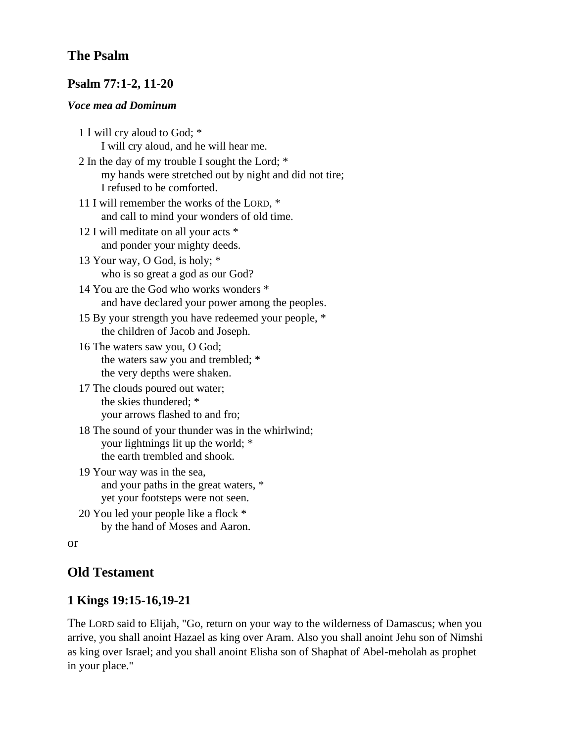## **The Psalm**

#### **Psalm 77:1-2, 11-20**

#### *Voce mea ad Dominum*

- 1 I will cry aloud to God; \* I will cry aloud, and he will hear me. 2 In the day of my trouble I sought the Lord; \* my hands were stretched out by night and did not tire; I refused to be comforted. 11 I will remember the works of the LORD, \* and call to mind your wonders of old time. 12 I will meditate on all your acts \* and ponder your mighty deeds. 13 Your way, O God, is holy; \* who is so great a god as our God? 14 You are the God who works wonders \* and have declared your power among the peoples. 15 By your strength you have redeemed your people, \* the children of Jacob and Joseph. 16 The waters saw you, O God; the waters saw you and trembled; \* the very depths were shaken. 17 The clouds poured out water; the skies thundered; \* your arrows flashed to and fro; 18 The sound of your thunder was in the whirlwind; your lightnings lit up the world; \* the earth trembled and shook.
- 19 Your way was in the sea, and your paths in the great waters, \* yet your footsteps were not seen.
- 20 You led your people like a flock \* by the hand of Moses and Aaron.

```
or
```
## **Old Testament**

## **1 Kings 19:15-16,19-21**

The LORD said to Elijah, "Go, return on your way to the wilderness of Damascus; when you arrive, you shall anoint Hazael as king over Aram. Also you shall anoint Jehu son of Nimshi as king over Israel; and you shall anoint Elisha son of Shaphat of Abel-meholah as prophet in your place."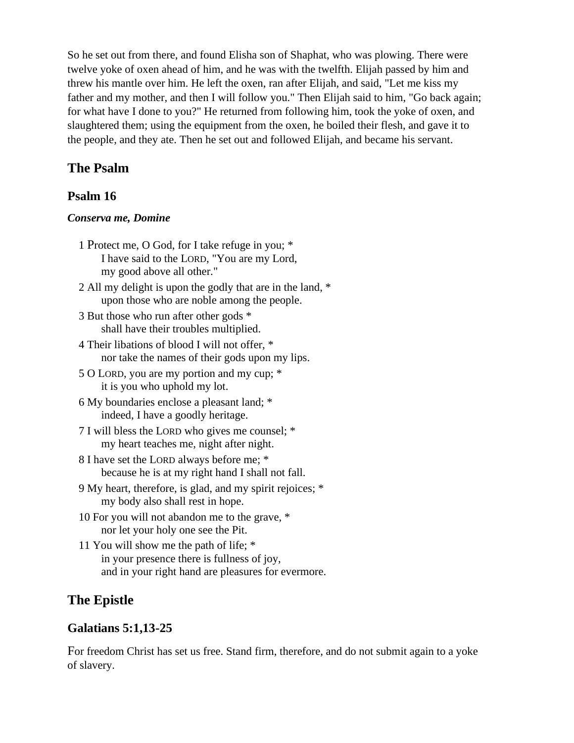So he set out from there, and found Elisha son of Shaphat, who was plowing. There were twelve yoke of oxen ahead of him, and he was with the twelfth. Elijah passed by him and threw his mantle over him. He left the oxen, ran after Elijah, and said, "Let me kiss my father and my mother, and then I will follow you." Then Elijah said to him, "Go back again; for what have I done to you?" He returned from following him, took the yoke of oxen, and slaughtered them; using the equipment from the oxen, he boiled their flesh, and gave it to the people, and they ate. Then he set out and followed Elijah, and became his servant.

### **The Psalm**

#### **Psalm 16**

#### *Conserva me, Domine*

- 1 Protect me, O God, for I take refuge in you; \* I have said to the LORD, "You are my Lord, my good above all other."
- 2 All my delight is upon the godly that are in the land, \* upon those who are noble among the people.
- 3 But those who run after other gods \* shall have their troubles multiplied.
- 4 Their libations of blood I will not offer, \* nor take the names of their gods upon my lips.
- 5 O LORD, you are my portion and my cup; \* it is you who uphold my lot.
- 6 My boundaries enclose a pleasant land; \* indeed, I have a goodly heritage.
- 7 I will bless the LORD who gives me counsel; \* my heart teaches me, night after night.
- 8 I have set the LORD always before me; \* because he is at my right hand I shall not fall.
- 9 My heart, therefore, is glad, and my spirit rejoices; \* my body also shall rest in hope.
- 10 For you will not abandon me to the grave, \* nor let your holy one see the Pit.
- 11 You will show me the path of life; \* in your presence there is fullness of joy, and in your right hand are pleasures for evermore.

#### **The Epistle**

#### **Galatians 5:1,13-25**

For freedom Christ has set us free. Stand firm, therefore, and do not submit again to a yoke of slavery.